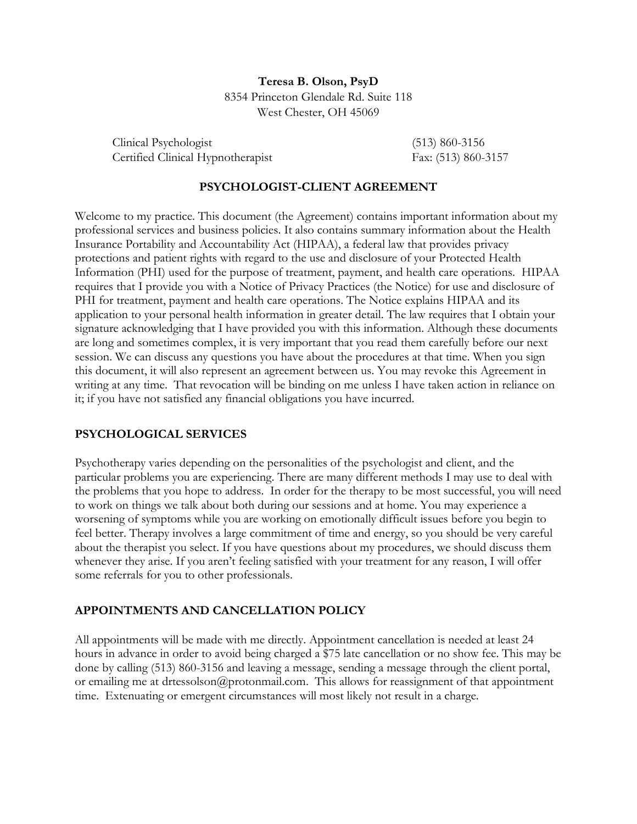**Teresa B. Olson, PsyD** 8354 Princeton Glendale Rd. Suite 118 West Chester, OH 45069

Clinical Psychologist (513) 860-3156 Certified Clinical Hypnotherapist Fax: (513) 860-3157

#### **PSYCHOLOGIST-CLIENT AGREEMENT**

Welcome to my practice. This document (the Agreement) contains important information about my professional services and business policies. It also contains summary information about the Health Insurance Portability and Accountability Act (HIPAA), a federal law that provides privacy protections and patient rights with regard to the use and disclosure of your Protected Health Information (PHI) used for the purpose of treatment, payment, and health care operations. HIPAA requires that I provide you with a Notice of Privacy Practices (the Notice) for use and disclosure of PHI for treatment, payment and health care operations. The Notice explains HIPAA and its application to your personal health information in greater detail. The law requires that I obtain your signature acknowledging that I have provided you with this information. Although these documents are long and sometimes complex, it is very important that you read them carefully before our next session. We can discuss any questions you have about the procedures at that time. When you sign this document, it will also represent an agreement between us. You may revoke this Agreement in writing at any time. That revocation will be binding on me unless I have taken action in reliance on it; if you have not satisfied any financial obligations you have incurred.

#### **PSYCHOLOGICAL SERVICES**

Psychotherapy varies depending on the personalities of the psychologist and client, and the particular problems you are experiencing. There are many different methods I may use to deal with the problems that you hope to address. In order for the therapy to be most successful, you will need to work on things we talk about both during our sessions and at home. You may experience a worsening of symptoms while you are working on emotionally difficult issues before you begin to feel better. Therapy involves a large commitment of time and energy, so you should be very careful about the therapist you select. If you have questions about my procedures, we should discuss them whenever they arise. If you aren't feeling satisfied with your treatment for any reason, I will offer some referrals for you to other professionals.

### **APPOINTMENTS AND CANCELLATION POLICY**

All appointments will be made with me directly. Appointment cancellation is needed at least 24 hours in advance in order to avoid being charged a \$75 late cancellation or no show fee. This may be done by calling (513) 860-3156 and leaving a message, sending a message through the client portal, or emailing me at drtessolson@protonmail.com. This allows for reassignment of that appointment time. Extenuating or emergent circumstances will most likely not result in a charge.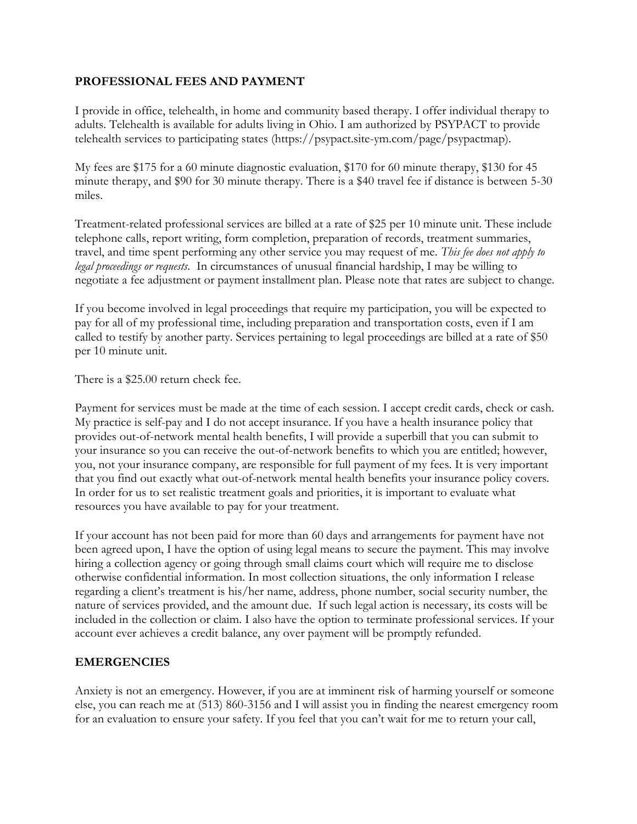### **PROFESSIONAL FEES AND PAYMENT**

I provide in office, telehealth, in home and community based therapy. I offer individual therapy to adults. Telehealth is available for adults living in Ohio. I am authorized by PSYPACT to provide telehealth services to participating states (https://psypact.site-ym.com/page/psypactmap).

My fees are \$175 for a 60 minute diagnostic evaluation, \$170 for 60 minute therapy, \$130 for 45 minute therapy, and \$90 for 30 minute therapy. There is a \$40 travel fee if distance is between 5-30 miles.

Treatment-related professional services are billed at a rate of \$25 per 10 minute unit. These include telephone calls, report writing, form completion, preparation of records, treatment summaries, travel, and time spent performing any other service you may request of me. *This fee does not apply to legal proceedings or requests*. In circumstances of unusual financial hardship, I may be willing to negotiate a fee adjustment or payment installment plan. Please note that rates are subject to change.

If you become involved in legal proceedings that require my participation, you will be expected to pay for all of my professional time, including preparation and transportation costs, even if I am called to testify by another party. Services pertaining to legal proceedings are billed at a rate of \$50 per 10 minute unit.

There is a \$25.00 return check fee.

Payment for services must be made at the time of each session. I accept credit cards, check or cash. My practice is self-pay and I do not accept insurance. If you have a health insurance policy that provides out-of-network mental health benefits, I will provide a superbill that you can submit to your insurance so you can receive the out-of-network benefits to which you are entitled; however, you, not your insurance company, are responsible for full payment of my fees. It is very important that you find out exactly what out-of-network mental health benefits your insurance policy covers. In order for us to set realistic treatment goals and priorities, it is important to evaluate what resources you have available to pay for your treatment.

If your account has not been paid for more than 60 days and arrangements for payment have not been agreed upon, I have the option of using legal means to secure the payment. This may involve hiring a collection agency or going through small claims court which will require me to disclose otherwise confidential information. In most collection situations, the only information I release regarding a client's treatment is his/her name, address, phone number, social security number, the nature of services provided, and the amount due. If such legal action is necessary, its costs will be included in the collection or claim. I also have the option to terminate professional services. If your account ever achieves a credit balance, any over payment will be promptly refunded.

#### **EMERGENCIES**

Anxiety is not an emergency. However, if you are at imminent risk of harming yourself or someone else, you can reach me at (513) 860-3156 and I will assist you in finding the nearest emergency room for an evaluation to ensure your safety. If you feel that you can't wait for me to return your call,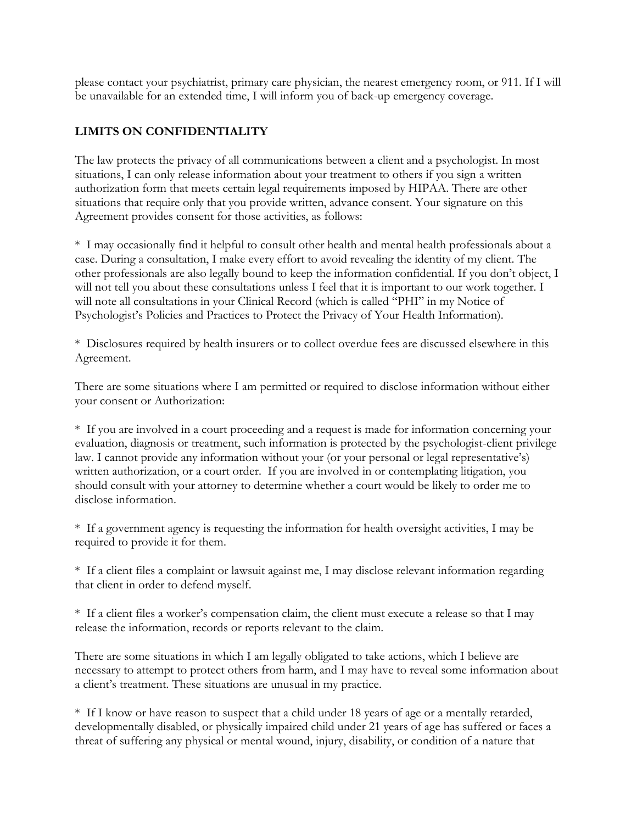please contact your psychiatrist, primary care physician, the nearest emergency room, or 911. If I will be unavailable for an extended time, I will inform you of back-up emergency coverage.

# **LIMITS ON CONFIDENTIALITY**

The law protects the privacy of all communications between a client and a psychologist. In most situations, I can only release information about your treatment to others if you sign a written authorization form that meets certain legal requirements imposed by HIPAA. There are other situations that require only that you provide written, advance consent. Your signature on this Agreement provides consent for those activities, as follows:

\* I may occasionally find it helpful to consult other health and mental health professionals about a case. During a consultation, I make every effort to avoid revealing the identity of my client. The other professionals are also legally bound to keep the information confidential. If you don't object, I will not tell you about these consultations unless I feel that it is important to our work together. I will note all consultations in your Clinical Record (which is called "PHI" in my Notice of Psychologist's Policies and Practices to Protect the Privacy of Your Health Information).

\* Disclosures required by health insurers or to collect overdue fees are discussed elsewhere in this Agreement.

There are some situations where I am permitted or required to disclose information without either your consent or Authorization:

\* If you are involved in a court proceeding and a request is made for information concerning your evaluation, diagnosis or treatment, such information is protected by the psychologist-client privilege law. I cannot provide any information without your (or your personal or legal representative's) written authorization, or a court order. If you are involved in or contemplating litigation, you should consult with your attorney to determine whether a court would be likely to order me to disclose information.

\* If a government agency is requesting the information for health oversight activities, I may be required to provide it for them.

\* If a client files a complaint or lawsuit against me, I may disclose relevant information regarding that client in order to defend myself.

\* If a client files a worker's compensation claim, the client must execute a release so that I may release the information, records or reports relevant to the claim.

There are some situations in which I am legally obligated to take actions, which I believe are necessary to attempt to protect others from harm, and I may have to reveal some information about a client's treatment. These situations are unusual in my practice.

\* If I know or have reason to suspect that a child under 18 years of age or a mentally retarded, developmentally disabled, or physically impaired child under 21 years of age has suffered or faces a threat of suffering any physical or mental wound, injury, disability, or condition of a nature that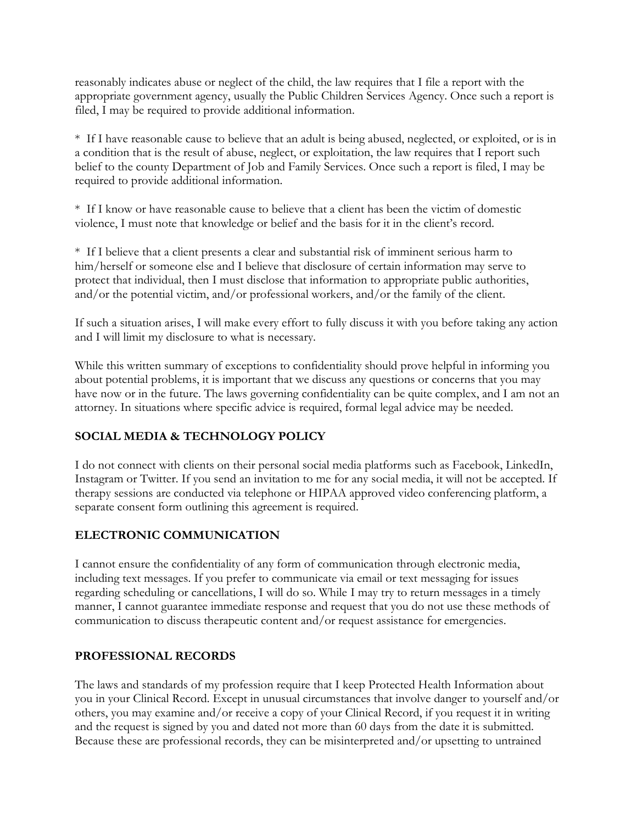reasonably indicates abuse or neglect of the child, the law requires that I file a report with the appropriate government agency, usually the Public Children Services Agency. Once such a report is filed, I may be required to provide additional information.

\* If I have reasonable cause to believe that an adult is being abused, neglected, or exploited, or is in a condition that is the result of abuse, neglect, or exploitation, the law requires that I report such belief to the county Department of Job and Family Services. Once such a report is filed, I may be required to provide additional information.

\* If I know or have reasonable cause to believe that a client has been the victim of domestic violence, I must note that knowledge or belief and the basis for it in the client's record.

\* If I believe that a client presents a clear and substantial risk of imminent serious harm to him/herself or someone else and I believe that disclosure of certain information may serve to protect that individual, then I must disclose that information to appropriate public authorities, and/or the potential victim, and/or professional workers, and/or the family of the client.

If such a situation arises, I will make every effort to fully discuss it with you before taking any action and I will limit my disclosure to what is necessary.

While this written summary of exceptions to confidentiality should prove helpful in informing you about potential problems, it is important that we discuss any questions or concerns that you may have now or in the future. The laws governing confidentiality can be quite complex, and I am not an attorney. In situations where specific advice is required, formal legal advice may be needed.

## **SOCIAL MEDIA & TECHNOLOGY POLICY**

I do not connect with clients on their personal social media platforms such as Facebook, LinkedIn, Instagram or Twitter. If you send an invitation to me for any social media, it will not be accepted. If therapy sessions are conducted via telephone or HIPAA approved video conferencing platform, a separate consent form outlining this agreement is required.

## **ELECTRONIC COMMUNICATION**

I cannot ensure the confidentiality of any form of communication through electronic media, including text messages. If you prefer to communicate via email or text messaging for issues regarding scheduling or cancellations, I will do so. While I may try to return messages in a timely manner, I cannot guarantee immediate response and request that you do not use these methods of communication to discuss therapeutic content and/or request assistance for emergencies.

### **PROFESSIONAL RECORDS**

The laws and standards of my profession require that I keep Protected Health Information about you in your Clinical Record. Except in unusual circumstances that involve danger to yourself and/or others, you may examine and/or receive a copy of your Clinical Record, if you request it in writing and the request is signed by you and dated not more than 60 days from the date it is submitted. Because these are professional records, they can be misinterpreted and/or upsetting to untrained